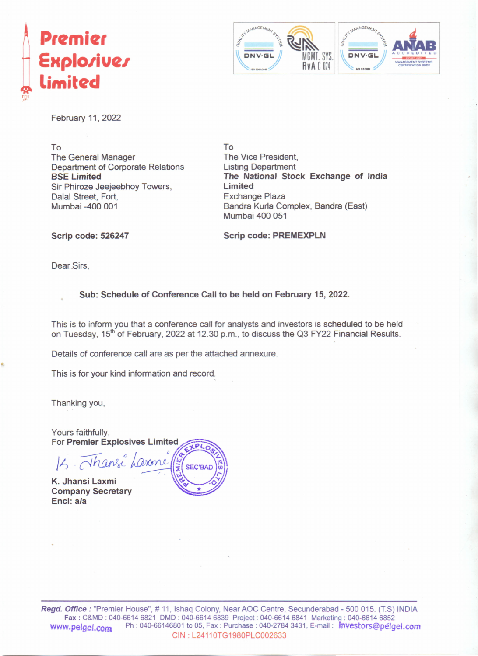



February 11, 2022

To The General Manager Department of Corporate Relations BSE Limited Sir Phiroze Jeejeebhoy Towers, Dalal Street, Fort, Mumbai -400 001

To The Vice President, Listing Department The National Stock Exchange of India **Limited** Exchange Plaza 8andra Kurla Complex, 8andra (East) Mumbai 400 051

Scrip code: 526247 Scrip code: PREMEXPLN

Dear Sirs,

#### Sub: Schedule of Conference Call to be held on February 15, 2022.

This is to inform you that a conference call for analysts and investors is scheduled to be held on Tuesday, 15<sup>th</sup> of February, 2022 at 12.30 p.m., to discuss the Q3 FY22 Financial Results.

Details of conference call are as per the attached annexure.

This is for your kind information and record;

Thanking you,

Yours faithfully. **For Premier Explosives Limited** Inan **SEC'BAD** K. Jhansi Laxmi

**Company Secretary** Encl: a/a



*Regd. Office:* "Premier House", # 11, Ishaq Colony, Near AOC Centre, Secunderabad - 500 015. (T.S) INDIA Fax: C&MD : 040-6614 6821 DMD: 040-66146839 Project: 040-6614 6841 Marketinq : 040-6614 6852 WWW.peigel.com Ph: 040-66146801 to 05, Fax: Purchase: 040-2784 3431, E-mail: myestors@pelgel.com CIN : L24110TG1980PLC002633